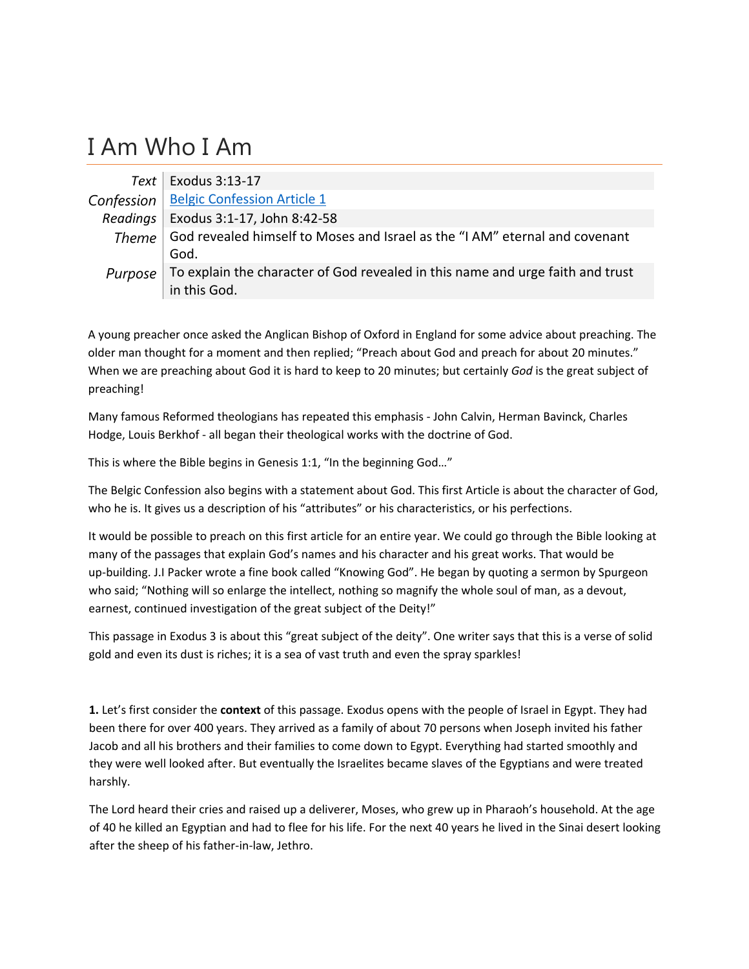## I Am Who I Am

|                | Text   Exodus $3:13-17$                                                        |
|----------------|--------------------------------------------------------------------------------|
|                | Confession   Belgic Confession Article 1                                       |
| Readings       | Exodus 3:1-17, John 8:42-58                                                    |
| Theme $\vdash$ | God revealed himself to Moses and Israel as the "I AM" eternal and covenant    |
|                | God.                                                                           |
| Purpose        | To explain the character of God revealed in this name and urge faith and trust |
|                | in this God.                                                                   |

A young preacher once asked the Anglican Bishop of Oxford in England for some advice about preaching. The older man thought for a moment and then replied; "Preach about God and preach for about 20 minutes." When we are preaching about God it is hard to keep to 20 minutes; but certainly *God* is the great subject of preaching!

Many famous Reformed theologians has repeated this emphasis ‐ John Calvin, Herman Bavinck, Charles Hodge, Louis Berkhof ‐ all began their theological works with the doctrine of God.

This is where the Bible begins in Genesis 1:1, "In the beginning God…"

The Belgic Confession also begins with a statement about God. This first Article is about the character of God, who he is. It gives us a description of his "attributes" or his characteristics, or his perfections.

It would be possible to preach on this first article for an entire year. We could go through the Bible looking at many of the passages that explain God's names and his character and his great works. That would be up-building. J.I Packer wrote a fine book called "Knowing God". He began by quoting a sermon by Spurgeon who said; "Nothing will so enlarge the intellect, nothing so magnify the whole soul of man, as a devout, earnest, continued investigation of the great subject of the Deity!"

This passage in Exodus 3 is about this "great subject of the deity". One writer says that this is a verse of solid gold and even its dust is riches; it is a sea of vast truth and even the spray sparkles!

**1.** Let's first consider the **context** of this passage. Exodus opens with the people of Israel in Egypt. They had been there for over 400 years. They arrived as a family of about 70 persons when Joseph invited his father Jacob and all his brothers and their families to come down to Egypt. Everything had started smoothly and they were well looked after. But eventually the Israelites became slaves of the Egyptians and were treated harshly.

The Lord heard their cries and raised up a deliverer, Moses, who grew up in Pharaoh's household. At the age of 40 he killed an Egyptian and had to flee for his life. For the next 40 years he lived in the Sinai desert looking after the sheep of his father‐in‐law, Jethro.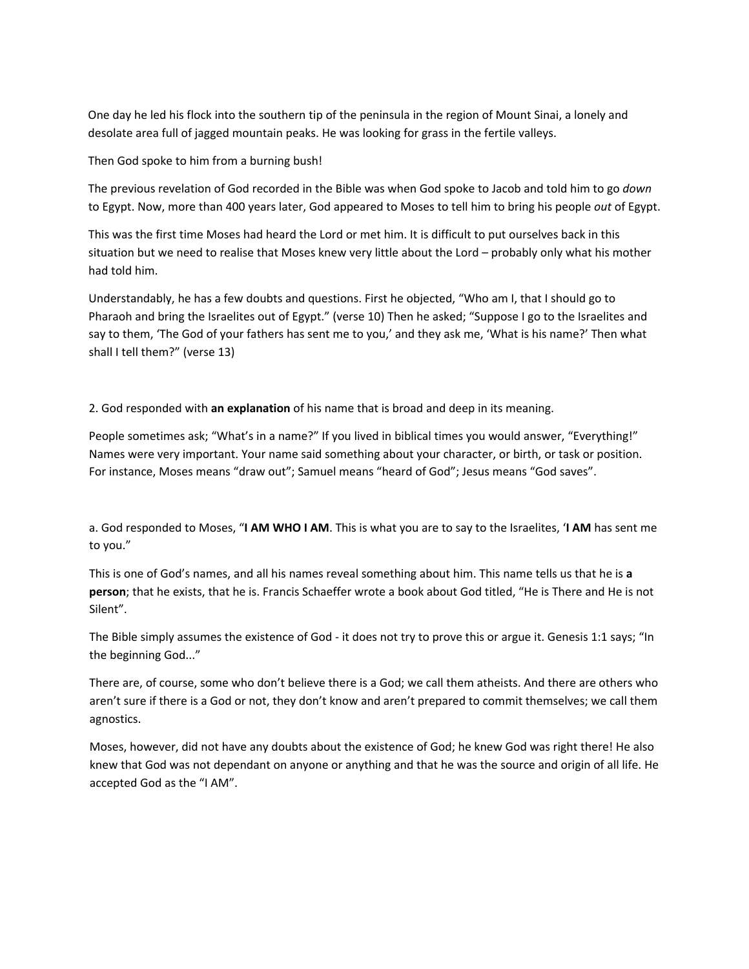One day he led his flock into the southern tip of the peninsula in the region of Mount Sinai, a lonely and desolate area full of jagged mountain peaks. He was looking for grass in the fertile valleys.

Then God spoke to him from a burning bush!

The previous revelation of God recorded in the Bible was when God spoke to Jacob and told him to go *down* to Egypt. Now, more than 400 years later, God appeared to Moses to tell him to bring his people *out* of Egypt.

This was the first time Moses had heard the Lord or met him. It is difficult to put ourselves back in this situation but we need to realise that Moses knew very little about the Lord – probably only what his mother had told him.

Understandably, he has a few doubts and questions. First he objected, "Who am I, that I should go to Pharaoh and bring the Israelites out of Egypt." (verse 10) Then he asked; "Suppose I go to the Israelites and say to them, 'The God of your fathers has sent me to you,' and they ask me, 'What is his name?' Then what shall I tell them?" (verse 13)

2. God responded with **an explanation** of his name that is broad and deep in its meaning.

People sometimes ask; "What's in a name?" If you lived in biblical times you would answer, "Everything!" Names were very important. Your name said something about your character, or birth, or task or position. For instance, Moses means "draw out"; Samuel means "heard of God"; Jesus means "God saves".

a. God responded to Moses, "**I AM WHO I AM**. This is what you are to say to the Israelites, '**I AM** has sent me to you."

This is one of God's names, and all his names reveal something about him. This name tells us that he is **a person**; that he exists, that he is. Francis Schaeffer wrote a book about God titled, "He is There and He is not Silent".

The Bible simply assumes the existence of God - it does not try to prove this or argue it. Genesis 1:1 says; "In the beginning God..."

There are, of course, some who don't believe there is a God; we call them atheists. And there are others who aren't sure if there is a God or not, they don't know and aren't prepared to commit themselves; we call them agnostics.

Moses, however, did not have any doubts about the existence of God; he knew God was right there! He also knew that God was not dependant on anyone or anything and that he was the source and origin of all life. He accepted God as the "I AM".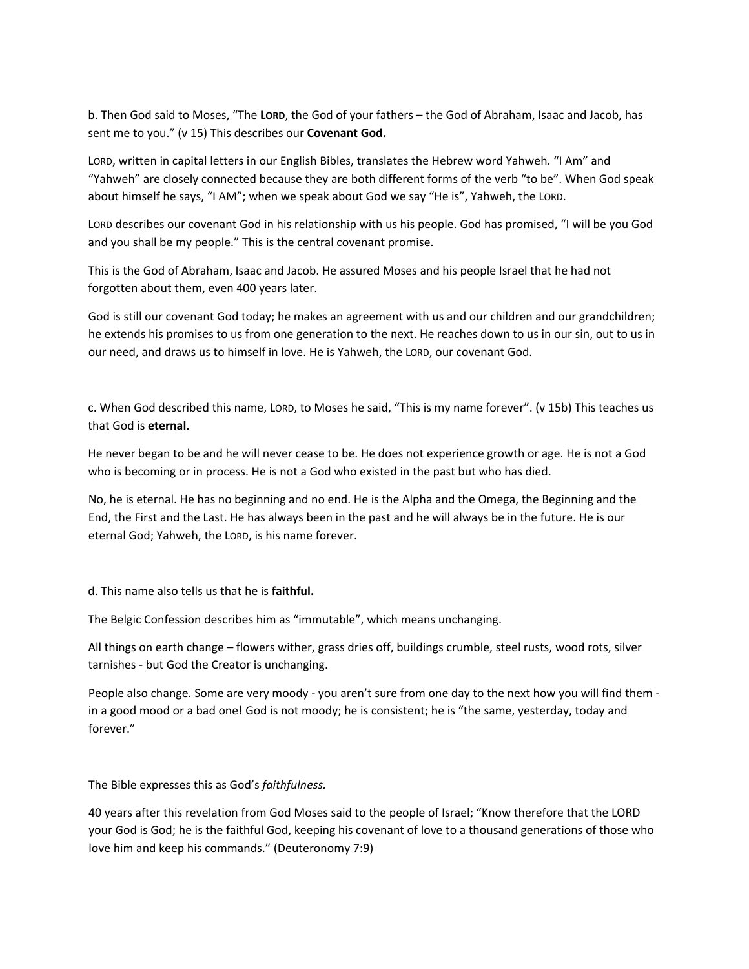b. Then God said to Moses, "The **LORD**, the God of your fathers – the God of Abraham, Isaac and Jacob, has sent me to you." (v 15) This describes our **Covenant God.**

LORD, written in capital letters in our English Bibles, translates the Hebrew word Yahweh. "I Am" and "Yahweh" are closely connected because they are both different forms of the verb "to be". When God speak about himself he says, "I AM"; when we speak about God we say "He is", Yahweh, the LORD.

LORD describes our covenant God in his relationship with us his people. God has promised, "I will be you God and you shall be my people." This is the central covenant promise.

This is the God of Abraham, Isaac and Jacob. He assured Moses and his people Israel that he had not forgotten about them, even 400 years later.

God is still our covenant God today; he makes an agreement with us and our children and our grandchildren; he extends his promises to us from one generation to the next. He reaches down to us in our sin, out to us in our need, and draws us to himself in love. He is Yahweh, the LORD, our covenant God.

c. When God described this name, LORD, to Moses he said, "This is my name forever". (v 15b) This teaches us that God is **eternal.**

He never began to be and he will never cease to be. He does not experience growth or age. He is not a God who is becoming or in process. He is not a God who existed in the past but who has died.

No, he is eternal. He has no beginning and no end. He is the Alpha and the Omega, the Beginning and the End, the First and the Last. He has always been in the past and he will always be in the future. He is our eternal God; Yahweh, the LORD, is his name forever.

d. This name also tells us that he is **faithful.**

The Belgic Confession describes him as "immutable", which means unchanging.

All things on earth change – flowers wither, grass dries off, buildings crumble, steel rusts, wood rots, silver tarnishes ‐ but God the Creator is unchanging.

People also change. Some are very moody ‐ you aren't sure from one day to the next how you will find them ‐ in a good mood or a bad one! God is not moody; he is consistent; he is "the same, yesterday, today and forever."

The Bible expresses this as God's *faithfulness.*

40 years after this revelation from God Moses said to the people of Israel; "Know therefore that the LORD your God is God; he is the faithful God, keeping his covenant of love to a thousand generations of those who love him and keep his commands." (Deuteronomy 7:9)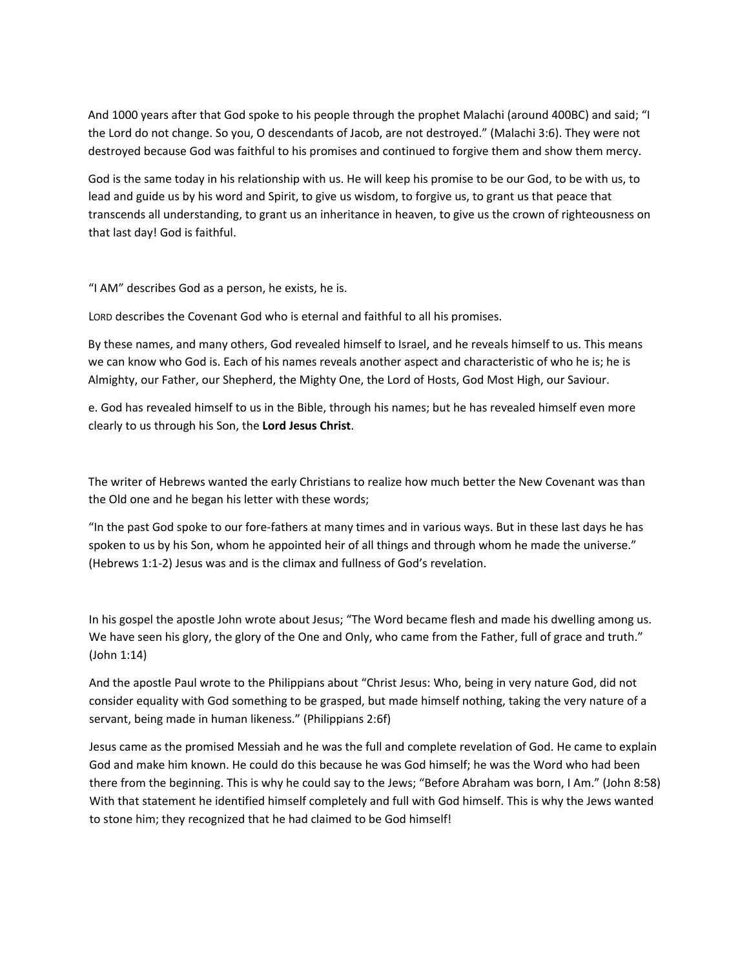And 1000 years after that God spoke to his people through the prophet Malachi (around 400BC) and said; "I the Lord do not change. So you, O descendants of Jacob, are not destroyed." (Malachi 3:6). They were not destroyed because God was faithful to his promises and continued to forgive them and show them mercy.

God is the same today in his relationship with us. He will keep his promise to be our God, to be with us, to lead and guide us by his word and Spirit, to give us wisdom, to forgive us, to grant us that peace that transcends all understanding, to grant us an inheritance in heaven, to give us the crown of righteousness on that last day! God is faithful.

"I AM" describes God as a person, he exists, he is.

LORD describes the Covenant God who is eternal and faithful to all his promises.

By these names, and many others, God revealed himself to Israel, and he reveals himself to us. This means we can know who God is. Each of his names reveals another aspect and characteristic of who he is; he is Almighty, our Father, our Shepherd, the Mighty One, the Lord of Hosts, God Most High, our Saviour.

e. God has revealed himself to us in the Bible, through his names; but he has revealed himself even more clearly to us through his Son, the **Lord Jesus Christ**.

The writer of Hebrews wanted the early Christians to realize how much better the New Covenant was than the Old one and he began his letter with these words;

"In the past God spoke to our fore‐fathers at many times and in various ways. But in these last days he has spoken to us by his Son, whom he appointed heir of all things and through whom he made the universe." (Hebrews 1:1‐2) Jesus was and is the climax and fullness of God's revelation.

In his gospel the apostle John wrote about Jesus; "The Word became flesh and made his dwelling among us. We have seen his glory, the glory of the One and Only, who came from the Father, full of grace and truth." (John 1:14)

And the apostle Paul wrote to the Philippians about "Christ Jesus: Who, being in very nature God, did not consider equality with God something to be grasped, but made himself nothing, taking the very nature of a servant, being made in human likeness." (Philippians 2:6f)

Jesus came as the promised Messiah and he was the full and complete revelation of God. He came to explain God and make him known. He could do this because he was God himself; he was the Word who had been there from the beginning. This is why he could say to the Jews; "Before Abraham was born, I Am." (John 8:58) With that statement he identified himself completely and full with God himself. This is why the Jews wanted to stone him; they recognized that he had claimed to be God himself!